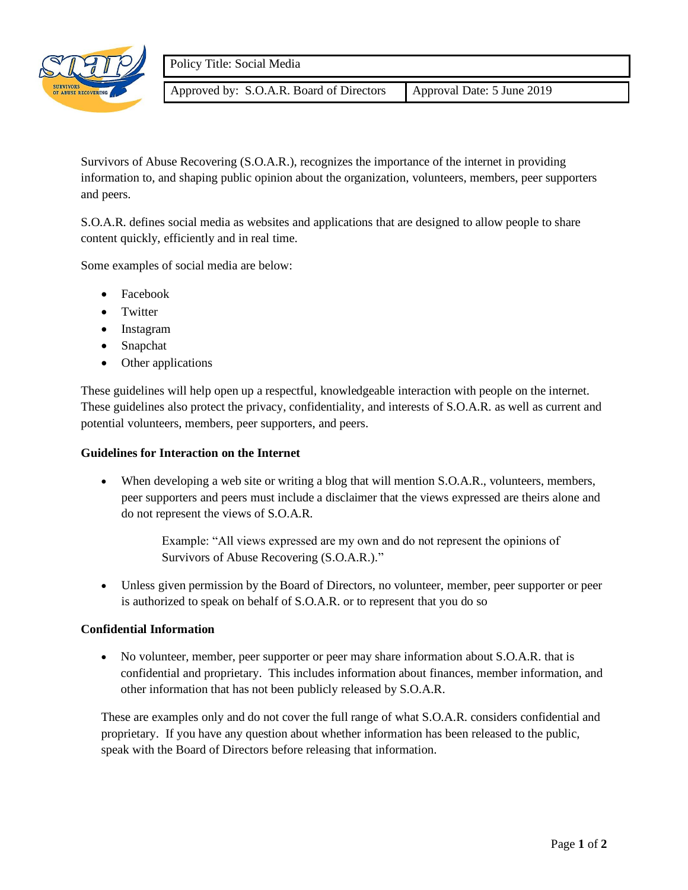

Approved by: S.O.A.R. Board of Directors | Approval Date: 5 June 2019

Survivors of Abuse Recovering (S.O.A.R.), recognizes the importance of the internet in providing information to, and shaping public opinion about the organization, volunteers, members, peer supporters and peers.

S.O.A.R. defines social media as websites and applications that are designed to allow people to share content quickly, efficiently and in real time.

Some examples of social media are below:

- Facebook
- Twitter
- Instagram
- Snapchat
- Other applications

These guidelines will help open up a respectful, knowledgeable interaction with people on the internet. These guidelines also protect the privacy, confidentiality, and interests of S.O.A.R. as well as current and potential volunteers, members, peer supporters, and peers.

## **Guidelines for Interaction on the Internet**

When developing a web site or writing a blog that will mention S.O.A.R., volunteers, members, peer supporters and peers must include a disclaimer that the views expressed are theirs alone and do not represent the views of S.O.A.R.

> Example: "All views expressed are my own and do not represent the opinions of Survivors of Abuse Recovering (S.O.A.R.)."

• Unless given permission by the Board of Directors, no volunteer, member, peer supporter or peer is authorized to speak on behalf of S.O.A.R. or to represent that you do so

## **Confidential Information**

• No volunteer, member, peer supporter or peer may share information about S.O.A.R. that is confidential and proprietary. This includes information about finances, member information, and other information that has not been publicly released by S.O.A.R.

These are examples only and do not cover the full range of what S.O.A.R. considers confidential and proprietary. If you have any question about whether information has been released to the public, speak with the Board of Directors before releasing that information.